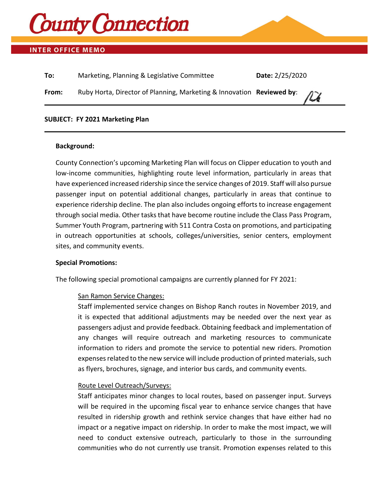

# **INTER OFFICE MEMO**

| To:   | Marketing, Planning & Legislative Committee                           | Date: 2/25/2020 |
|-------|-----------------------------------------------------------------------|-----------------|
| From: | Ruby Horta, Director of Planning, Marketing & Innovation Reviewed by: | $\mu$           |
|       |                                                                       |                 |

#### **SUBJECT: FY 2021 Marketing Plan**

#### **Background:**

County Connection's upcoming Marketing Plan will focus on Clipper education to youth and low-income communities, highlighting route level information, particularly in areas that have experienced increased ridership since the service changes of 2019. Staff will also pursue passenger input on potential additional changes, particularly in areas that continue to experience ridership decline. The plan also includes ongoing efforts to increase engagement through social media. Other tasks that have become routine include the Class Pass Program, Summer Youth Program, partnering with 511 Contra Costa on promotions, and participating in outreach opportunities at schools, colleges/universities, senior centers, employment sites, and community events.

#### **Special Promotions:**

The following special promotional campaigns are currently planned for FY 2021:

#### San Ramon Service Changes:

Staff implemented service changes on Bishop Ranch routes in November 2019, and it is expected that additional adjustments may be needed over the next year as passengers adjust and provide feedback. Obtaining feedback and implementation of any changes will require outreach and marketing resources to communicate information to riders and promote the service to potential new riders. Promotion expenses related to the new service will include production of printed materials, such as flyers, brochures, signage, and interior bus cards, and community events.

# Route Level Outreach/Surveys:

Staff anticipates minor changes to local routes, based on passenger input. Surveys will be required in the upcoming fiscal year to enhance service changes that have resulted in ridership growth and rethink service changes that have either had no impact or a negative impact on ridership. In order to make the most impact, we will need to conduct extensive outreach, particularly to those in the surrounding communities who do not currently use transit. Promotion expenses related to this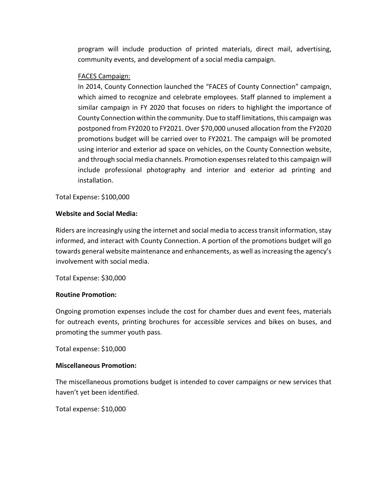program will include production of printed materials, direct mail, advertising, community events, and development of a social media campaign.

# FACES Campaign:

In 2014, County Connection launched the "FACES of County Connection" campaign, which aimed to recognize and celebrate employees. Staff planned to implement a similar campaign in FY 2020 that focuses on riders to highlight the importance of County Connection within the community. Due to staff limitations, this campaign was postponed from FY2020 to FY2021. Over \$70,000 unused allocation from the FY2020 promotions budget will be carried over to FY2021. The campaign will be promoted using interior and exterior ad space on vehicles, on the County Connection website, and through social media channels. Promotion expenses related to this campaign will include professional photography and interior and exterior ad printing and installation.

Total Expense: \$100,000

# **Website and Social Media:**

Riders are increasingly using the internet and social media to access transit information, stay informed, and interact with County Connection. A portion of the promotions budget will go towards general website maintenance and enhancements, as well as increasing the agency's involvement with social media.

Total Expense: \$30,000

## **Routine Promotion:**

Ongoing promotion expenses include the cost for chamber dues and event fees, materials for outreach events, printing brochures for accessible services and bikes on buses, and promoting the summer youth pass.

Total expense: \$10,000

## **Miscellaneous Promotion:**

The miscellaneous promotions budget is intended to cover campaigns or new services that haven't yet been identified.

Total expense: \$10,000